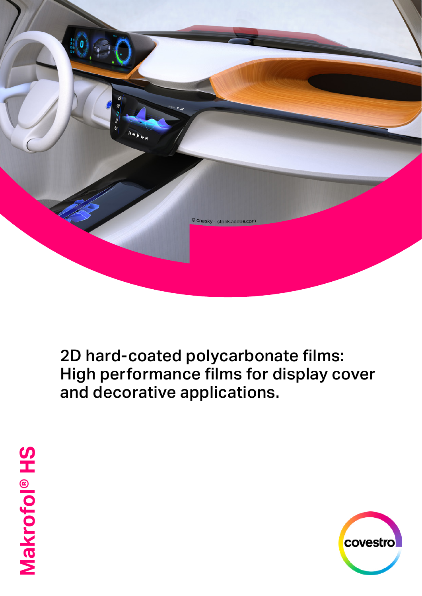

2D hard-coated polycarbonate films: High performance films for display cover and decorative applications.